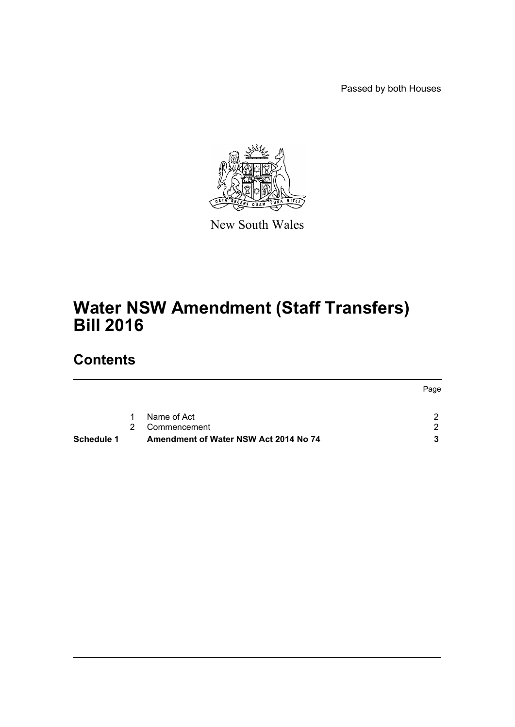Passed by both Houses



New South Wales

# **Water NSW Amendment (Staff Transfers) Bill 2016**

# **Contents**

| <b>Schedule 1</b> |             | Amendment of Water NSW Act 2014 No 74 |      |
|-------------------|-------------|---------------------------------------|------|
|                   | $2^{\circ}$ | Commencement                          |      |
|                   | 1.          | Name of Act                           |      |
|                   |             |                                       | Page |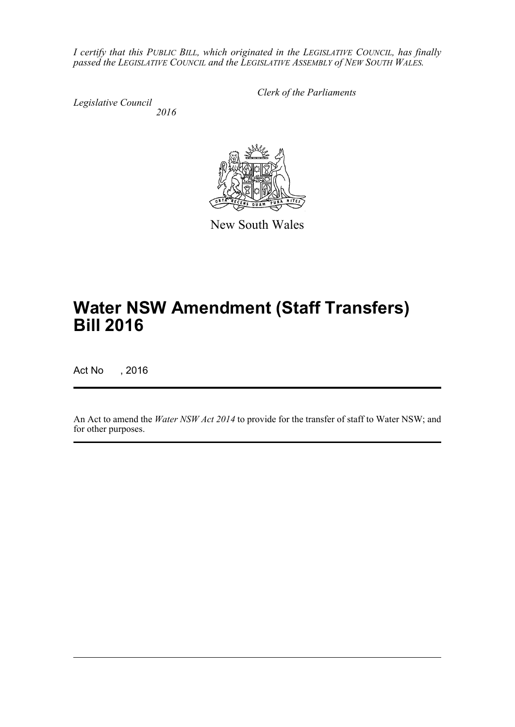*I certify that this PUBLIC BILL, which originated in the LEGISLATIVE COUNCIL, has finally passed the LEGISLATIVE COUNCIL and the LEGISLATIVE ASSEMBLY of NEW SOUTH WALES.*

*Legislative Council 2016* *Clerk of the Parliaments*



New South Wales

# **Water NSW Amendment (Staff Transfers) Bill 2016**

Act No , 2016

An Act to amend the *Water NSW Act 2014* to provide for the transfer of staff to Water NSW; and for other purposes.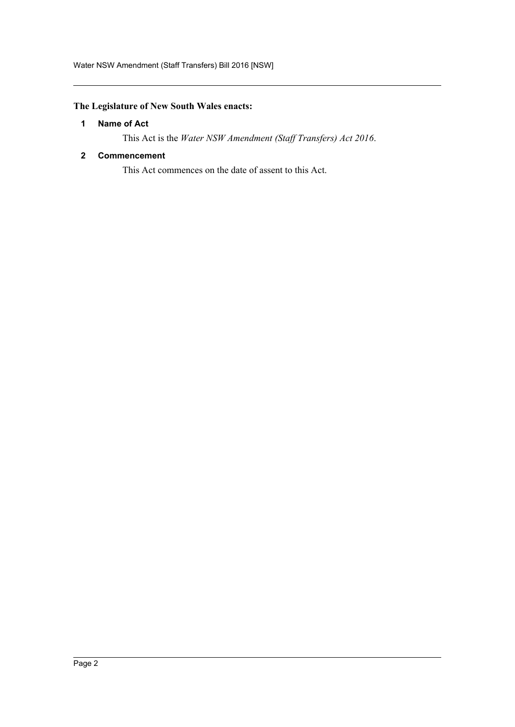## <span id="page-2-0"></span>**The Legislature of New South Wales enacts:**

### **1 Name of Act**

This Act is the *Water NSW Amendment (Staff Transfers) Act 2016*.

#### <span id="page-2-1"></span>**2 Commencement**

This Act commences on the date of assent to this Act.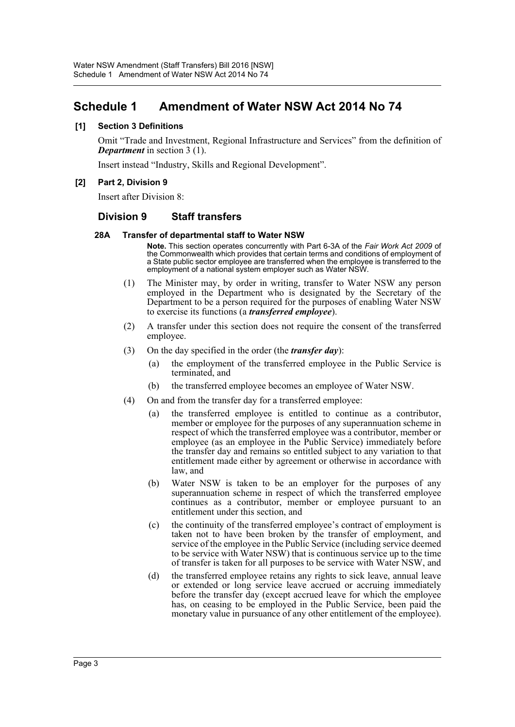# <span id="page-3-0"></span>**Schedule 1 Amendment of Water NSW Act 2014 No 74**

#### **[1] Section 3 Definitions**

Omit "Trade and Investment, Regional Infrastructure and Services" from the definition of *Department* in section 3 (1).

Insert instead "Industry, Skills and Regional Development".

#### **[2] Part 2, Division 9**

Insert after Division 8:

### **Division 9 Staff transfers**

#### **28A Transfer of departmental staff to Water NSW**

**Note.** This section operates concurrently with Part 6-3A of the *Fair Work Act 2009* of the Commonwealth which provides that certain terms and conditions of employment of a State public sector employee are transferred when the employee is transferred to the employment of a national system employer such as Water NSW.

- (1) The Minister may, by order in writing, transfer to Water NSW any person employed in the Department who is designated by the Secretary of the Department to be a person required for the purposes of enabling Water NSW to exercise its functions (a *transferred employee*).
- (2) A transfer under this section does not require the consent of the transferred employee.
- (3) On the day specified in the order (the *transfer day*):
	- (a) the employment of the transferred employee in the Public Service is terminated, and
	- (b) the transferred employee becomes an employee of Water NSW.
- (4) On and from the transfer day for a transferred employee:
	- (a) the transferred employee is entitled to continue as a contributor, member or employee for the purposes of any superannuation scheme in respect of which the transferred employee was a contributor, member or employee (as an employee in the Public Service) immediately before the transfer day and remains so entitled subject to any variation to that entitlement made either by agreement or otherwise in accordance with law, and
	- (b) Water NSW is taken to be an employer for the purposes of any superannuation scheme in respect of which the transferred employee continues as a contributor, member or employee pursuant to an entitlement under this section, and
	- (c) the continuity of the transferred employee's contract of employment is taken not to have been broken by the transfer of employment, and service of the employee in the Public Service (including service deemed to be service with Water NSW) that is continuous service up to the time of transfer is taken for all purposes to be service with Water NSW, and
	- (d) the transferred employee retains any rights to sick leave, annual leave or extended or long service leave accrued or accruing immediately before the transfer day (except accrued leave for which the employee has, on ceasing to be employed in the Public Service, been paid the monetary value in pursuance of any other entitlement of the employee).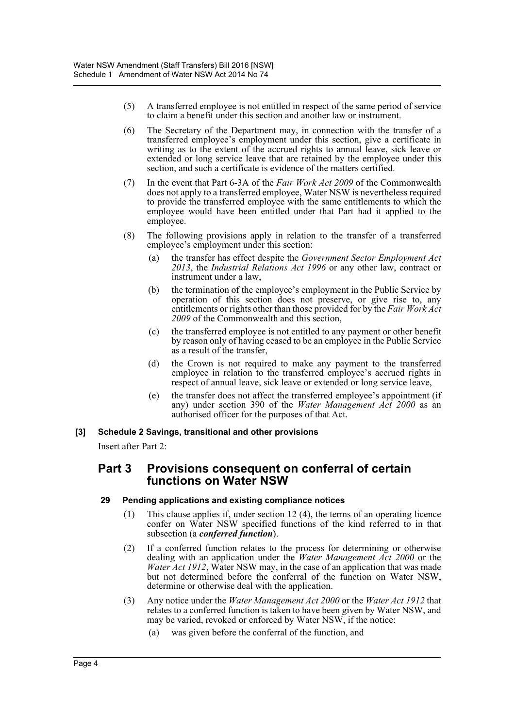- (5) A transferred employee is not entitled in respect of the same period of service to claim a benefit under this section and another law or instrument.
- (6) The Secretary of the Department may, in connection with the transfer of a transferred employee's employment under this section, give a certificate in writing as to the extent of the accrued rights to annual leave, sick leave or extended or long service leave that are retained by the employee under this section, and such a certificate is evidence of the matters certified.
- (7) In the event that Part 6-3A of the *Fair Work Act 2009* of the Commonwealth does not apply to a transferred employee, Water NSW is nevertheless required to provide the transferred employee with the same entitlements to which the employee would have been entitled under that Part had it applied to the employee.
- (8) The following provisions apply in relation to the transfer of a transferred employee's employment under this section:
	- (a) the transfer has effect despite the *Government Sector Employment Act 2013*, the *Industrial Relations Act 1996* or any other law, contract or instrument under a law,
	- (b) the termination of the employee's employment in the Public Service by operation of this section does not preserve, or give rise to, any entitlements or rights other than those provided for by the *Fair Work Act 2009* of the Commonwealth and this section,
	- (c) the transferred employee is not entitled to any payment or other benefit by reason only of having ceased to be an employee in the Public Service as a result of the transfer,
	- (d) the Crown is not required to make any payment to the transferred employee in relation to the transferred employee's accrued rights in respect of annual leave, sick leave or extended or long service leave,
	- (e) the transfer does not affect the transferred employee's appointment (if any) under section 390 of the *Water Management Act 2000* as an authorised officer for the purposes of that Act.

#### **[3] Schedule 2 Savings, transitional and other provisions**

Insert after Part 2:

## **Part 3 Provisions consequent on conferral of certain functions on Water NSW**

#### **29 Pending applications and existing compliance notices**

- (1) This clause applies if, under section 12 (4), the terms of an operating licence confer on Water NSW specified functions of the kind referred to in that subsection (a *conferred function*).
- (2) If a conferred function relates to the process for determining or otherwise dealing with an application under the *Water Management Act 2000* or the *Water Act 1912*, Water NSW may, in the case of an application that was made but not determined before the conferral of the function on Water NSW, determine or otherwise deal with the application.
- (3) Any notice under the *Water Management Act 2000* or the *Water Act 1912* that relates to a conferred function is taken to have been given by Water NSW, and may be varied, revoked or enforced by Water NSW, if the notice:
	- (a) was given before the conferral of the function, and